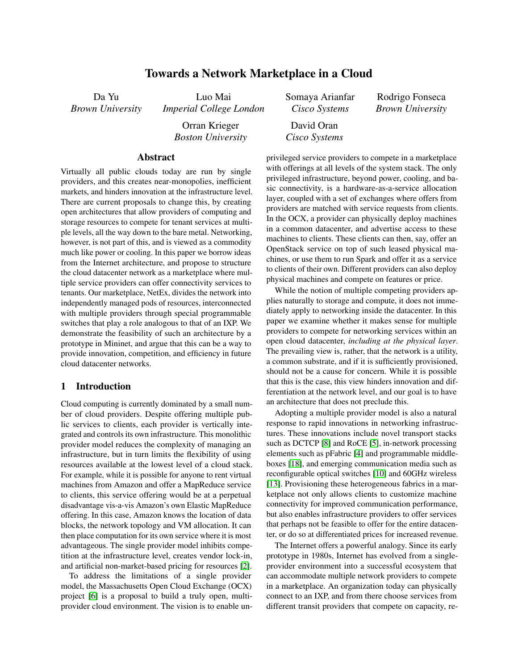# Towards a Network Marketplace in a Cloud

Da Yu *Brown University*

Luo Mai *Imperial College London*

> Orran Krieger *Boston University*

Somaya Arianfar *Cisco Systems*

David Oran *Cisco Systems* Rodrigo Fonseca *Brown University*

Abstract

Virtually all public clouds today are run by single providers, and this creates near-monopolies, inefficient markets, and hinders innovation at the infrastructure level. There are current proposals to change this, by creating open architectures that allow providers of computing and storage resources to compete for tenant services at multiple levels, all the way down to the bare metal. Networking, however, is not part of this, and is viewed as a commodity much like power or cooling. In this paper we borrow ideas from the Internet architecture, and propose to structure the cloud datacenter network as a marketplace where multiple service providers can offer connectivity services to tenants. Our marketplace, NetEx, divides the network into independently managed pods of resources, interconnected with multiple providers through special programmable switches that play a role analogous to that of an IXP. We demonstrate the feasibility of such an architecture by a prototype in Mininet, and argue that this can be a way to provide innovation, competition, and efficiency in future cloud datacenter networks.

### <span id="page-0-0"></span>1 Introduction

Cloud computing is currently dominated by a small number of cloud providers. Despite offering multiple public services to clients, each provider is vertically integrated and controls its own infrastructure. This monolithic provider model reduces the complexity of managing an infrastructure, but in turn limits the flexibility of using resources available at the lowest level of a cloud stack. For example, while it is possible for anyone to rent virtual machines from Amazon and offer a MapReduce service to clients, this service offering would be at a perpetual disadvantage vis-a-vis Amazon's own Elastic MapReduce offering. In this case, Amazon knows the location of data blocks, the network topology and VM allocation. It can then place computation for its own service where it is most advantageous. The single provider model inhibits competition at the infrastructure level, creates vendor lock-in, and artificial non-market-based pricing for resources [\[2\]](#page-5-0).

To address the limitations of a single provider model, the Massachusetts Open Cloud Exchange (OCX) project [\[6\]](#page-5-1) is a proposal to build a truly open, multiprovider cloud environment. The vision is to enable unprivileged service providers to compete in a marketplace with offerings at all levels of the system stack. The only privileged infrastructure, beyond power, cooling, and basic connectivity, is a hardware-as-a-service allocation layer, coupled with a set of exchanges where offers from providers are matched with service requests from clients. In the OCX, a provider can physically deploy machines in a common datacenter, and advertise access to these machines to clients. These clients can then, say, offer an OpenStack service on top of such leased physical machines, or use them to run Spark and offer it as a service to clients of their own. Different providers can also deploy physical machines and compete on features or price.

While the notion of multiple competing providers applies naturally to storage and compute, it does not immediately apply to networking inside the datacenter. In this paper we examine whether it makes sense for multiple providers to compete for networking services within an open cloud datacenter, *including at the physical layer*. The prevailing view is, rather, that the network is a utility, a common substrate, and if it is sufficiently provisioned, should not be a cause for concern. While it is possible that this is the case, this view hinders innovation and differentiation at the network level, and our goal is to have an architecture that does not preclude this.

Adopting a multiple provider model is also a natural response to rapid innovations in networking infrastructures. These innovations include novel transport stacks such as DCTCP [\[8\]](#page-5-2) and RoCE [\[5\]](#page-5-3), in-network processing elements such as pFabric [\[4\]](#page-5-4) and programmable middleboxes [\[18\]](#page-5-5), and emerging communication media such as reconfigurable optical switches [\[10\]](#page-5-6) and 60GHz wireless [\[13\]](#page-5-7). Provisioning these heterogeneous fabrics in a marketplace not only allows clients to customize machine connectivity for improved communication performance, but also enables infrastructure providers to offer services that perhaps not be feasible to offer for the entire datacenter, or do so at differentiated prices for increased revenue.

The Internet offers a powerful analogy. Since its early prototype in 1980s, Internet has evolved from a singleprovider environment into a successful ecosystem that can accommodate multiple network providers to compete in a marketplace. An organization today can physically connect to an IXP, and from there choose services from different transit providers that compete on capacity, re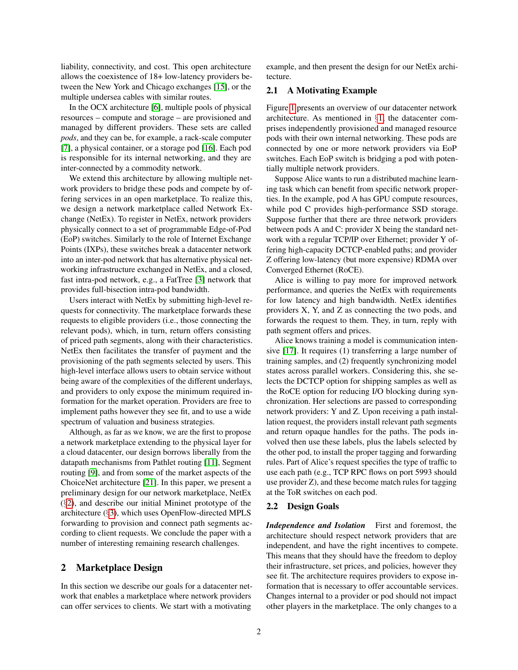liability, connectivity, and cost. This open architecture allows the coexistence of 18+ low-latency providers between the New York and Chicago exchanges [\[15\]](#page-5-8), or the multiple undersea cables with similar routes.

In the OCX architecture [\[6\]](#page-5-1), multiple pools of physical resources – compute and storage – are provisioned and managed by different providers. These sets are called *pods*, and they can be, for example, a rack-scale computer [\[7\]](#page-5-9), a physical container, or a storage pod [\[16\]](#page-5-10). Each pod is responsible for its internal networking, and they are inter-connected by a commodity network.

We extend this architecture by allowing multiple network providers to bridge these pods and compete by offering services in an open marketplace. To realize this, we design a network marketplace called Network Exchange (NetEx). To register in NetEx, network providers physically connect to a set of programmable Edge-of-Pod (EoP) switches. Similarly to the role of Internet Exchange Points (IXPs), these switches break a datacenter network into an inter-pod network that has alternative physical networking infrastructure exchanged in NetEx, and a closed, fast intra-pod network, e.g., a FatTree [\[3\]](#page-5-11) network that provides full-bisection intra-pod bandwidth.

Users interact with NetEx by submitting high-level requests for connectivity. The marketplace forwards these requests to eligible providers (i.e., those connecting the relevant pods), which, in turn, return offers consisting of priced path segments, along with their characteristics. NetEx then facilitates the transfer of payment and the provisioning of the path segments selected by users. This high-level interface allows users to obtain service without being aware of the complexities of the different underlays, and providers to only expose the minimum required information for the market operation. Providers are free to implement paths however they see fit, and to use a wide spectrum of valuation and business strategies.

Although, as far as we know, we are the first to propose a network marketplace extending to the physical layer for a cloud datacenter, our design borrows liberally from the datapath mechanisms from Pathlet routing [\[11\]](#page-5-12), Segment routing [\[9\]](#page-5-13), and from some of the market aspects of the ChoiceNet architecture [\[21\]](#page-5-14). In this paper, we present a preliminary design for our network marketplace, NetEx (§[2\)](#page-1-0), and describe our initial Mininet prototype of the architecture (§[3\)](#page-3-0), which uses OpenFlow-directed MPLS forwarding to provision and connect path segments according to client requests. We conclude the paper with a number of interesting remaining research challenges.

## <span id="page-1-0"></span>2 Marketplace Design

In this section we describe our goals for a datacenter network that enables a marketplace where network providers can offer services to clients. We start with a motivating

example, and then present the design for our NetEx architecture.

### 2.1 A Motivating Example

Figure [1](#page-2-0) presents an overview of our datacenter network architecture. As mentioned in §[1,](#page-0-0) the datacenter comprises independently provisioned and managed resource pods with their own internal networking. These pods are connected by one or more network providers via EoP switches. Each EoP switch is bridging a pod with potentially multiple network providers.

Suppose Alice wants to run a distributed machine learning task which can benefit from specific network properties. In the example, pod A has GPU compute resources, while pod C provides high-performance SSD storage. Suppose further that there are three network providers between pods A and C: provider X being the standard network with a regular TCP/IP over Ethernet; provider Y offering high-capacity DCTCP-enabled paths; and provider Z offering low-latency (but more expensive) RDMA over Converged Ethernet (RoCE).

Alice is willing to pay more for improved network performance, and queries the NetEx with requirements for low latency and high bandwidth. NetEx identifies providers X, Y, and Z as connecting the two pods, and forwards the request to them. They, in turn, reply with path segment offers and prices.

Alice knows training a model is communication intensive [\[17\]](#page-5-15). It requires (1) transferring a large number of training samples, and (2) frequently synchronizing model states across parallel workers. Considering this, she selects the DCTCP option for shipping samples as well as the RoCE option for reducing I/O blocking during synchronization. Her selections are passed to corresponding network providers: Y and Z. Upon receiving a path installation request, the providers install relevant path segments and return opaque handles for the paths. The pods involved then use these labels, plus the labels selected by the other pod, to install the proper tagging and forwarding rules. Part of Alice's request specifies the type of traffic to use each path (e.g., TCP RPC flows on port 5993 should use provider Z), and these become match rules for tagging at the ToR switches on each pod.

#### 2.2 Design Goals

*Independence and Isolation* First and foremost, the architecture should respect network providers that are independent, and have the right incentives to compete. This means that they should have the freedom to deploy their infrastructure, set prices, and policies, however they see fit. The architecture requires providers to expose information that is necessary to offer accountable services. Changes internal to a provider or pod should not impact other players in the marketplace. The only changes to a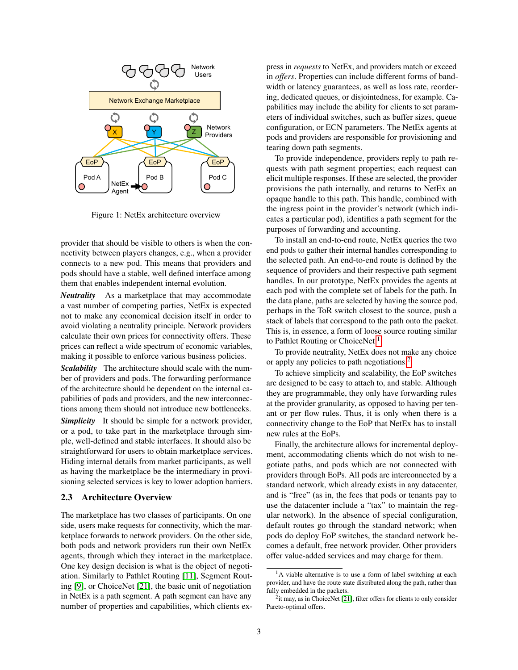

<span id="page-2-0"></span>Figure 1: NetEx architecture overview

provider that should be visible to others is when the connectivity between players changes, e.g., when a provider connects to a new pod. This means that providers and pods should have a stable, well defined interface among them that enables independent internal evolution.

*Neutrality* As a marketplace that may accommodate a vast number of competing parties, NetEx is expected not to make any economical decision itself in order to avoid violating a neutrality principle. Network providers calculate their own prices for connectivity offers. These prices can reflect a wide spectrum of economic variables, making it possible to enforce various business policies.

*Scalability* The architecture should scale with the number of providers and pods. The forwarding performance of the architecture should be dependent on the internal capabilities of pods and providers, and the new interconnections among them should not introduce new bottlenecks.

*Simplicity* It should be simple for a network provider, or a pod, to take part in the marketplace through simple, well-defined and stable interfaces. It should also be straightforward for users to obtain marketplace services. Hiding internal details from market participants, as well as having the marketplace be the intermediary in provisioning selected services is key to lower adoption barriers.

#### 2.3 Architecture Overview

The marketplace has two classes of participants. On one side, users make requests for connectivity, which the marketplace forwards to network providers. On the other side, both pods and network providers run their own NetEx agents, through which they interact in the marketplace. One key design decision is what is the object of negotiation. Similarly to Pathlet Routing [\[11\]](#page-5-12), Segment Routing [\[9\]](#page-5-13), or ChoiceNet [\[21\]](#page-5-14), the basic unit of negotiation in NetEx is a path segment. A path segment can have any number of properties and capabilities, which clients express in *requests* to NetEx, and providers match or exceed in *offers*. Properties can include different forms of bandwidth or latency guarantees, as well as loss rate, reordering, dedicated queues, or disjointedness, for example. Capabilities may include the ability for clients to set parameters of individual switches, such as buffer sizes, queue configuration, or ECN parameters. The NetEx agents at pods and providers are responsible for provisioning and tearing down path segments.

To provide independence, providers reply to path requests with path segment properties; each request can elicit multiple responses. If these are selected, the provider provisions the path internally, and returns to NetEx an opaque handle to this path. This handle, combined with the ingress point in the provider's network (which indicates a particular pod), identifies a path segment for the purposes of forwarding and accounting.

To install an end-to-end route, NetEx queries the two end pods to gather their internal handles corresponding to the selected path. An end-to-end route is defined by the sequence of providers and their respective path segment handles. In our prototype, NetEx provides the agents at each pod with the complete set of labels for the path. In the data plane, paths are selected by having the source pod, perhaps in the ToR switch closest to the source, push a stack of labels that correspond to the path onto the packet. This is, in essence, a form of loose source routing similar to Pathlet Routing or ChoiceNet.<sup>[1](#page-2-1)</sup>

To provide neutrality, NetEx does not make any choice or apply any policies to path negotiations.<sup>[2](#page-2-2)</sup>

To achieve simplicity and scalability, the EoP switches are designed to be easy to attach to, and stable. Although they are programmable, they only have forwarding rules at the provider granularity, as opposed to having per tenant or per flow rules. Thus, it is only when there is a connectivity change to the EoP that NetEx has to install new rules at the EoPs.

Finally, the architecture allows for incremental deployment, accommodating clients which do not wish to negotiate paths, and pods which are not connected with providers through EoPs. All pods are interconnected by a standard network, which already exists in any datacenter, and is "free" (as in, the fees that pods or tenants pay to use the datacenter include a "tax" to maintain the regular network). In the absence of special configuration, default routes go through the standard network; when pods do deploy EoP switches, the standard network becomes a default, free network provider. Other providers offer value-added services and may charge for them.

<span id="page-2-1"></span> $<sup>1</sup>A$  viable alternative is to use a form of label switching at each</sup> provider, and have the route state distributed along the path, rather than fully embedded in the packets.

<span id="page-2-2"></span><sup>&</sup>lt;sup>2</sup>it may, as in ChoiceNet [\[21\]](#page-5-14), filter offers for clients to only consider Pareto-optimal offers.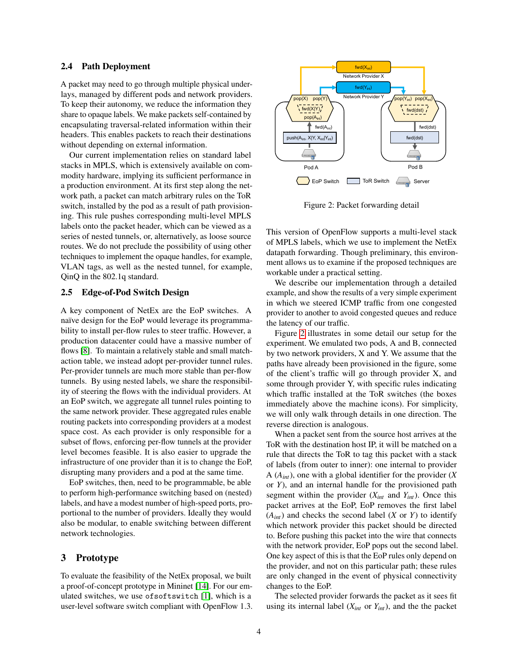#### 2.4 Path Deployment

A packet may need to go through multiple physical underlays, managed by different pods and network providers. To keep their autonomy, we reduce the information they share to opaque labels. We make packets self-contained by encapsulating traversal-related information within their headers. This enables packets to reach their destinations without depending on external information.

Our current implementation relies on standard label stacks in MPLS, which is extensively available on commodity hardware, implying its sufficient performance in a production environment. At its first step along the network path, a packet can match arbitrary rules on the ToR switch, installed by the pod as a result of path provisioning. This rule pushes corresponding multi-level MPLS labels onto the packet header, which can be viewed as a series of nested tunnels, or, alternatively, as loose source routes. We do not preclude the possibility of using other techniques to implement the opaque handles, for example, VLAN tags, as well as the nested tunnel, for example, QinQ in the 802.1q standard.

### 2.5 Edge-of-Pod Switch Design

A key component of NetEx are the EoP switches. A naïve design for the EoP would leverage its programmability to install per-flow rules to steer traffic. However, a production datacenter could have a massive number of flows [\[8\]](#page-5-2). To maintain a relatively stable and small matchaction table, we instead adopt per-provider tunnel rules. Per-provider tunnels are much more stable than per-flow tunnels. By using nested labels, we share the responsibility of steering the flows with the individual providers. At an EoP switch, we aggregate all tunnel rules pointing to the same network provider. These aggregated rules enable routing packets into corresponding providers at a modest space cost. As each provider is only responsible for a subset of flows, enforcing per-flow tunnels at the provider level becomes feasible. It is also easier to upgrade the infrastructure of one provider than it is to change the EoP, disrupting many providers and a pod at the same time.

EoP switches, then, need to be programmable, be able to perform high-performance switching based on (nested) labels, and have a modest number of high-speed ports, proportional to the number of providers. Ideally they would also be modular, to enable switching between different network technologies.

# <span id="page-3-0"></span>3 Prototype

To evaluate the feasibility of the NetEx proposal, we built a proof-of-concept prototype in Mininet [\[14\]](#page-5-16). For our emulated switches, we use ofsoftswitch [\[1\]](#page-5-17), which is a user-level software switch compliant with OpenFlow 1.3.



<span id="page-3-1"></span>Figure 2: Packet forwarding detail

This version of OpenFlow supports a multi-level stack of MPLS labels, which we use to implement the NetEx datapath forwarding. Though preliminary, this environment allows us to examine if the proposed techniques are workable under a practical setting.

We describe our implementation through a detailed example, and show the results of a very simple experiment in which we steered ICMP traffic from one congested provider to another to avoid congested queues and reduce the latency of our traffic.

Figure [2](#page-3-1) illustrates in some detail our setup for the experiment. We emulated two pods, A and B, connected by two network providers, X and Y. We assume that the paths have already been provisioned in the figure, some of the client's traffic will go through provider X, and some through provider Y, with specific rules indicating which traffic installed at the ToR switches (the boxes immediately above the machine icons). For simplicity, we will only walk through details in one direction. The reverse direction is analogous.

When a packet sent from the source host arrives at the ToR with the destination host IP, it will be matched on a rule that directs the ToR to tag this packet with a stack of labels (from outer to inner): one internal to provider A (*Aint*), one with a global identifier for the provider (*X* or *Y*), and an internal handle for the provisioned path segment within the provider  $(X_{int}$  and  $Y_{int}$ ). Once this packet arrives at the EoP, EoP removes the first label  $(A_{int})$  and checks the second label  $(X \text{ or } Y)$  to identify which network provider this packet should be directed to. Before pushing this packet into the wire that connects with the network provider, EoP pops out the second label. One key aspect of this is that the EoP rules only depend on the provider, and not on this particular path; these rules are only changed in the event of physical connectivity changes to the EoP.

The selected provider forwards the packet as it sees fit using its internal label  $(X_{int}$  or  $Y_{int}$ ), and the the packet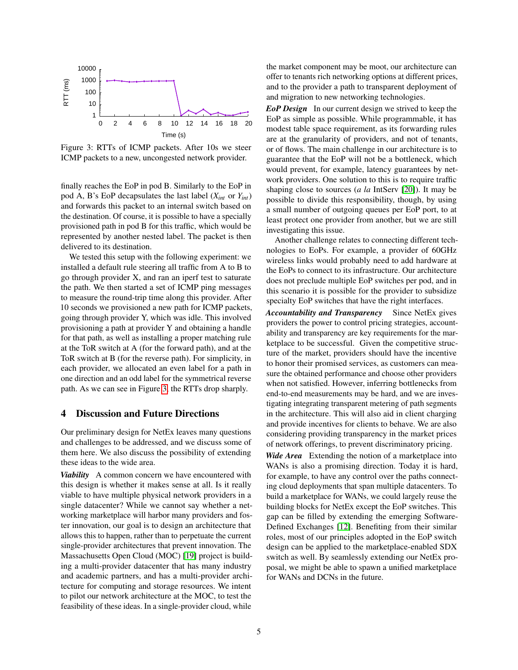

<span id="page-4-0"></span>Figure 3: RTTs of ICMP packets. After 10s we steer ICMP packets to a new, uncongested network provider.

finally reaches the EoP in pod B. Similarly to the EoP in pod A, B's EoP decapsulates the last label  $(X_{int}$  or  $Y_{int}$ ) and forwards this packet to an internal switch based on the destination. Of course, it is possible to have a specially provisioned path in pod B for this traffic, which would be represented by another nested label. The packet is then delivered to its destination.

We tested this setup with the following experiment: we installed a default rule steering all traffic from A to B to go through provider X, and ran an iperf test to saturate the path. We then started a set of ICMP ping messages to measure the round-trip time along this provider. After 10 seconds we provisioned a new path for ICMP packets, going through provider Y, which was idle. This involved provisioning a path at provider Y and obtaining a handle for that path, as well as installing a proper matching rule at the ToR switch at A (for the forward path), and at the ToR switch at B (for the reverse path). For simplicity, in each provider, we allocated an even label for a path in one direction and an odd label for the symmetrical reverse path. As we can see in Figure [3,](#page-4-0) the RTTs drop sharply.

# 4 Discussion and Future Directions

Our preliminary design for NetEx leaves many questions and challenges to be addressed, and we discuss some of them here. We also discuss the possibility of extending these ideas to the wide area.

*Viability* A common concern we have encountered with this design is whether it makes sense at all. Is it really viable to have multiple physical network providers in a single datacenter? While we cannot say whether a networking marketplace will harbor many providers and foster innovation, our goal is to design an architecture that allows this to happen, rather than to perpetuate the current single-provider architectures that prevent innovation. The Massachusetts Open Cloud (MOC) [\[19\]](#page-5-18) project is building a multi-provider datacenter that has many industry and academic partners, and has a multi-provider architecture for computing and storage resources. We intent to pilot our network architecture at the MOC, to test the feasibility of these ideas. In a single-provider cloud, while

the market component may be moot, our architecture can offer to tenants rich networking options at different prices, and to the provider a path to transparent deployment of and migration to new networking technologies.

*EoP Design* In our current design we strived to keep the EoP as simple as possible. While programmable, it has modest table space requirement, as its forwarding rules are at the granularity of providers, and not of tenants, or of flows. The main challenge in our architecture is to guarantee that the EoP will not be a bottleneck, which would prevent, for example, latency guarantees by network providers. One solution to this is to require traffic shaping close to sources (*a la* IntServ [\[20\]](#page-5-19)). It may be possible to divide this responsibility, though, by using a small number of outgoing queues per EoP port, to at least protect one provider from another, but we are still investigating this issue.

Another challenge relates to connecting different technologies to EoPs. For example, a provider of 60GHz wireless links would probably need to add hardware at the EoPs to connect to its infrastructure. Our architecture does not preclude multiple EoP switches per pod, and in this scenario it is possible for the provider to subsidize specialty EoP switches that have the right interfaces.

*Accountability and Transparency* Since NetEx gives providers the power to control pricing strategies, accountability and transparency are key requirements for the marketplace to be successful. Given the competitive structure of the market, providers should have the incentive to honor their promised services, as customers can measure the obtained performance and choose other providers when not satisfied. However, inferring bottlenecks from end-to-end measurements may be hard, and we are investigating integrating transparent metering of path segments in the architecture. This will also aid in client charging and provide incentives for clients to behave. We are also considering providing transparency in the market prices of network offerings, to prevent discriminatory pricing.

*Wide Area* Extending the notion of a marketplace into WANs is also a promising direction. Today it is hard, for example, to have any control over the paths connecting cloud deployments that span multiple datacenters. To build a marketplace for WANs, we could largely reuse the building blocks for NetEx except the EoP switches. This gap can be filled by extending the emerging Software-Defined Exchanges [\[12\]](#page-5-20). Benefiting from their similar roles, most of our principles adopted in the EoP switch design can be applied to the marketplace-enabled SDX switch as well. By seamlessly extending our NetEx proposal, we might be able to spawn a unified marketplace for WANs and DCNs in the future.